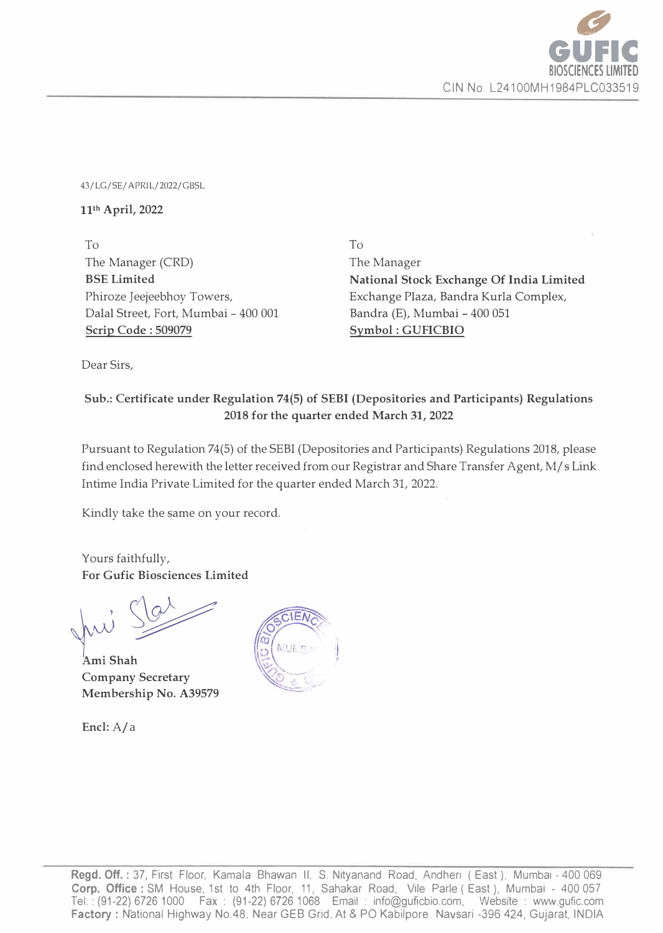

43/LG/SE/ APRIL/2022/GBSL

## **111h April, 2022**

To The Manager (CRD) **BSE Limited**  Phiroze Jeejeebhoy Towers, Dalal Street, Fort, Mumbai - 400 001 **Scrip Code : 509079** 

To The Manager **National Stock Exchange Of India Limited**  Exchange Plaza, Bandra Kurla Complex, Bandra (E), Mumbai - 400 051 **Symbol : GUFICBIO** 

Dear Sirs,

## **Sub.: Certificate under Regulation 74(5) of SEBI (Depositories and Participants) Regulations 2018 for the quarter ended March 31, 2022**

Pursuant to Regulation 74(5) of the SEBI (Depositories and Participants) Regulations 2018, please find enclosed herewith the letter received from our Registrar and Share Transfer Agent, M/ s Link Intime India Private Limited for the quarter ended March 31, 2022.

Kindly take the same on your record.

Yours faithfully, **For Gufic Biosciences Limited** 

�� **Ami Shah Company Secretary Membership No. A39579** 

**Encl:A/a**